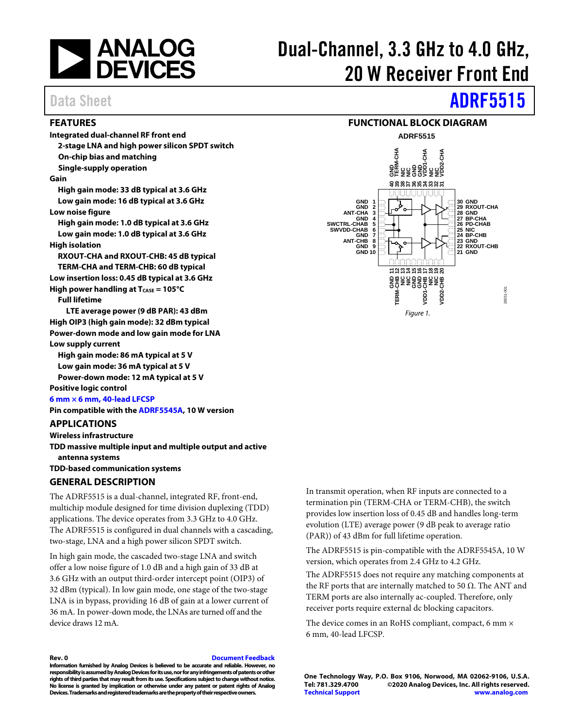

# Dual-Channel, 3.3 GHz to 4.0 GHz, 20 W Receiver Front End

### <span id="page-0-0"></span>**FEATURES**

**Integrated dual-channel RF front end 2-stage LNA and high power silicon SPDT switch On-chip bias and matching Single-supply operation**

#### **Gain**

**High gain mode: 33 dB typical at 3.6 GHz Low gain mode: 16 dB typical at 3.6 GHz Low noise figure**

**High gain mode: 1.0 dB typical at 3.6 GHz Low gain mode: 1.0 dB typical at 3.6 GHz**

#### **High isolation**

**RXOUT-CHA and RXOUT-CHB: 45 dB typical TERM-CHA and TERM-CHB: 60 dB typical Low insertion loss: 0.45 dB typical at 3.6 GHz High power handling at T<sub>CASE</sub> = 105°C** 

**Full lifetime**

**LTE average power (9 dB PAR): 43 dBm High OIP3 (high gain mode): 32 dBm typical Power-down mode and low gain mode for LNA Low supply current**

**High gain mode: 86 mA typical at 5 V Low gain mode: 36 mA typical at 5 V**

**Power-down mode: 12 mA typical at 5 V**

## **Positive logic control**

**[6 mm × 6 mm, 40-lead](#page-14-0) LFCSP**

**Pin compatible with th[e ADRF5545A,](https://www.analog.com/ADRF5545A?doc=ADRF5515.pdf) 10 W version**

#### <span id="page-0-1"></span>**APPLICATIONS**

**Wireless infrastructure**

**TDD massive multiple input and multiple output and active antenna systems**

**TDD-based communication systems**

### <span id="page-0-2"></span>**GENERAL DESCRIPTION**

The ADRF5515 is a dual-channel, integrated RF, front-end, multichip module designed for time division duplexing (TDD) applications. The device operates from 3.3 GHz to 4.0 GHz. The ADRF5515 is configured in dual channels with a cascading, two-stage, LNA and a high power silicon SPDT switch.

In high gain mode, the cascaded two-stage LNA and switch offer a low noise figure of 1.0 dB and a high gain of 33 dB at 3.6 GHz with an output third-order intercept point (OIP3) of 32 dBm (typical). In low gain mode, one stage of the two-stage LNA is in bypass, providing 16 dB of gain at a lower current of 36 mA. In power-down mode, the LNAs are turned off and the device draws 12 mA.

In transmit operation, when RF inputs are connected to a termination pin (TERM-CHA or TERM-CHB), the switch provides low insertion loss of 0.45 dB and handles long-term evolution (LTE) average power (9 dB peak to average ratio (PAR)) of 43 dBm for full lifetime operation.

The ADRF5515 is pin-compatible with the ADRF5545A, 10 W version, which operates from 2.4 GHz to 4.2 GHz.

The ADRF5515 does not require any matching components at the RF ports that are internally matched to 50  $Ω$ . The ANT and TERM ports are also internally ac-coupled. Therefore, only receiver ports require external dc blocking capacitors.

The device comes in an RoHS compliant, compact, 6 mm  $\times$ 6 mm, 40-lead LFCSP.

**Rev. 0 [Document Feedback](https://form.analog.com/Form_Pages/feedback/documentfeedback.aspx?doc=ADRF5515.pdf&product=ADRF5515&rev=0)**

**Information furnished by Analog Devices is believed to be accurate and reliable. However, no responsibility is assumed by Analog Devices for its use, nor for any infringements of patents or other rights ofthird parties that may result from its use. Specifications subject to change without notice. No license is granted by implication or otherwise under any patent or patent rights of Analog Devices.Trademarks and registered trademarksare the property of their respective owners.**

**One Technology Way, P.O. Box 9106, Norwood, MA 02062-9106, U.S.A. Tel: 781.329.4700 ©2020 Analog Devices, Inc. All rights reserved. [Technical Support](http://www.analog.com/en/content/technical_support_page/fca.html) [www.analog.com](http://www.analog.com/)**

# Data Sheet **[ADRF5515](https://www.analog.com/ADRF5515?doc=ADRF5515.pdf)**

#### **FUNCTIONAL BLOCK DIAGRAM**

<span id="page-0-3"></span>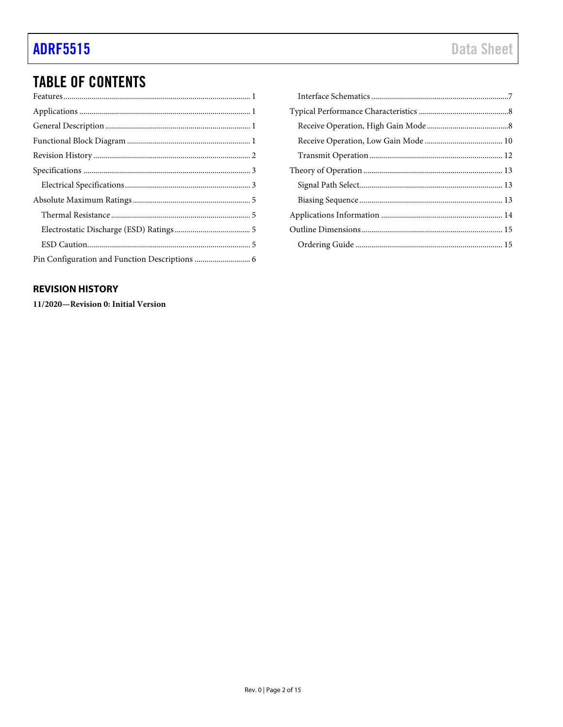# **TABLE OF CONTENTS**

### <span id="page-1-0"></span>**REVISION HISTORY**

11/2020-Revision 0: Initial Version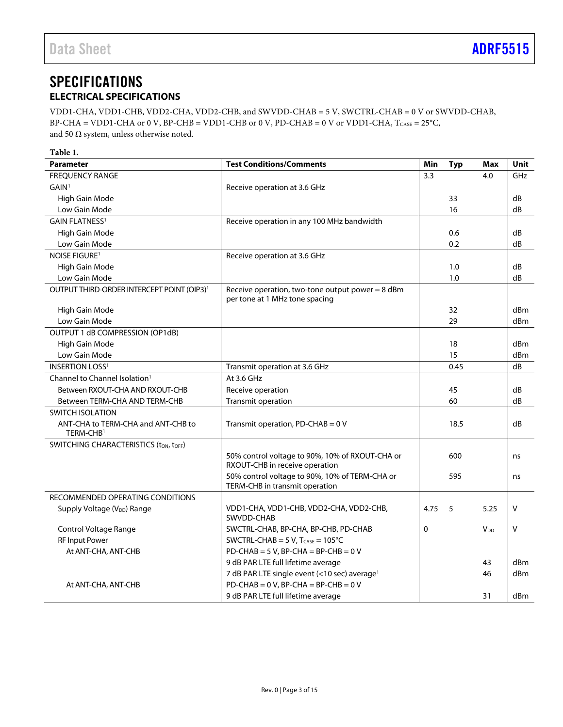## <span id="page-2-0"></span>**SPECIFICATIONS ELECTRICAL SPECIFICATIONS**

<span id="page-2-1"></span>VDD1-CHA, VDD1-CHB, VDD2-CHA, VDD2-CHB, and SWVDD-CHAB = 5 V, SWCTRL-CHAB = 0 V or SWVDD-CHAB, BP-CHA = VDD1-CHA or 0 V, BP-CHB = VDD1-CHB or 0 V, PD-CHAB = 0 V or VDD1-CHA,  $T_{CASE} = 25^{\circ}C$ , and 50  $\Omega$  system, unless otherwise noted.

| <b>Daramotor</b> |  |  |
|------------------|--|--|
| Table 1.         |  |  |
|                  |  |  |

| <b>Parameter</b>                                            | <b>Test Conditions/Comments</b>                                                    | Min  | <b>Typ</b> | <b>Max</b> | Unit       |
|-------------------------------------------------------------|------------------------------------------------------------------------------------|------|------------|------------|------------|
| <b>FREQUENCY RANGE</b>                                      |                                                                                    | 3.3  |            | 4.0        | <b>GHz</b> |
| GAIN <sup>1</sup>                                           | Receive operation at 3.6 GHz                                                       |      |            |            |            |
| High Gain Mode                                              |                                                                                    |      | 33         |            | dB         |
| Low Gain Mode                                               |                                                                                    |      | 16         |            | dB         |
| <b>GAIN FLATNESS1</b>                                       | Receive operation in any 100 MHz bandwidth                                         |      |            |            |            |
| High Gain Mode                                              |                                                                                    |      | 0.6        |            | dB         |
| Low Gain Mode                                               |                                                                                    |      | 0.2        |            | dB         |
| <b>NOISE FIGURE1</b>                                        | Receive operation at 3.6 GHz                                                       |      |            |            |            |
| High Gain Mode                                              |                                                                                    |      | 1.0        |            | dB         |
| Low Gain Mode                                               |                                                                                    |      | 1.0        |            | dB         |
| OUTPUT THIRD-ORDER INTERCEPT POINT (OIP3) <sup>1</sup>      | Receive operation, two-tone output power = 8 dBm<br>per tone at 1 MHz tone spacing |      |            |            |            |
| High Gain Mode                                              |                                                                                    |      | 32         |            | dBm        |
| Low Gain Mode                                               |                                                                                    |      | 29         |            | dBm        |
| OUTPUT 1 dB COMPRESSION (OP1dB)                             |                                                                                    |      |            |            |            |
| High Gain Mode                                              |                                                                                    |      | 18         |            | dBm        |
| Low Gain Mode                                               |                                                                                    |      | 15         |            | dBm        |
| <b>INSERTION LOSS<sup>1</sup></b>                           | Transmit operation at 3.6 GHz                                                      |      | 0.45       |            | dB         |
| Channel to Channel Isolation <sup>1</sup>                   | At 3.6 GHz                                                                         |      |            |            |            |
| Between RXOUT-CHA AND RXOUT-CHB                             | Receive operation                                                                  |      | 45         |            | dB         |
| Between TERM-CHA AND TERM-CHB                               | Transmit operation                                                                 |      | 60         |            | dB         |
| <b>SWITCH ISOLATION</b>                                     |                                                                                    |      |            |            |            |
| ANT-CHA to TERM-CHA and ANT-CHB to<br>TERM-CHB <sup>1</sup> | Transmit operation, PD-CHAB = 0 V                                                  |      | 18.5       |            | dB         |
| SWITCHING CHARACTERISTICS (ton, toff)                       |                                                                                    |      |            |            |            |
|                                                             | 50% control voltage to 90%, 10% of RXOUT-CHA or<br>RXOUT-CHB in receive operation  |      | 600        |            | ns         |
|                                                             | 50% control voltage to 90%, 10% of TERM-CHA or<br>TERM-CHB in transmit operation   |      | 595        |            | ns         |
| RECOMMENDED OPERATING CONDITIONS                            |                                                                                    |      |            |            |            |
| Supply Voltage (V <sub>DD</sub> ) Range                     | VDD1-CHA, VDD1-CHB, VDD2-CHA, VDD2-CHB,<br>SWVDD-CHAB                              | 4.75 | 5          | 5.25       | v          |
| Control Voltage Range                                       | SWCTRL-CHAB, BP-CHA, BP-CHB, PD-CHAB                                               | 0    |            | $V_{DD}$   | v          |
| <b>RF Input Power</b>                                       | SWCTRL-CHAB = $5$ V, T <sub>CASE</sub> = $105^{\circ}$ C                           |      |            |            |            |
| At ANT-CHA, ANT-CHB                                         | $PD$ -CHAB = 5 V, BP-CHA = BP-CHB = 0 V                                            |      |            |            |            |
|                                                             | 9 dB PAR LTE full lifetime average                                                 |      |            | 43         | dBm        |
|                                                             | 7 dB PAR LTE single event (<10 sec) average <sup>1</sup>                           |      |            | 46         | dBm        |
| At ANT-CHA, ANT-CHB                                         | $PD$ -CHAB = 0 V, BP-CHA = BP-CHB = 0 V                                            |      |            |            |            |
|                                                             | 9 dB PAR LTE full lifetime average                                                 |      |            | 31         | dBm        |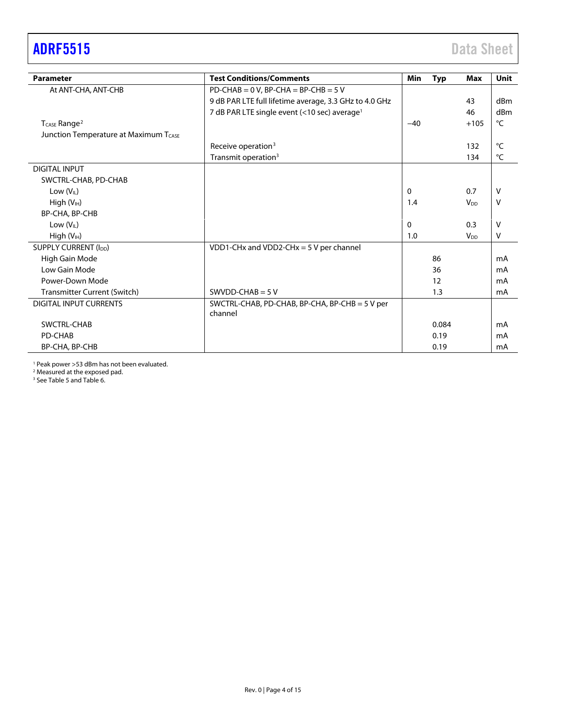# <span id="page-3-0"></span>[ADRF5515](https://www.analog.com/ADRF5515?doc=ADRF5515.pdf) Data Sheet

| <b>Parameter</b>                      | <b>Test Conditions/Comments</b>                           | Min   | <b>Typ</b> | <b>Max</b>            | <b>Unit</b> |
|---------------------------------------|-----------------------------------------------------------|-------|------------|-----------------------|-------------|
| At ANT-CHA, ANT-CHB                   | $PD$ -CHAB = 0 V, BP-CHA = BP-CHB = 5 V                   |       |            |                       |             |
|                                       | 9 dB PAR LTE full lifetime average, 3.3 GHz to 4.0 GHz    |       |            | 43                    | dBm         |
|                                       | 7 dB PAR LTE single event (<10 sec) average <sup>1</sup>  |       |            | 46                    | dBm         |
| T <sub>CASE</sub> Range <sup>2</sup>  |                                                           | $-40$ |            | $+105$                | °C          |
| Junction Temperature at Maximum TCASE |                                                           |       |            |                       |             |
|                                       | Receive operation <sup>3</sup>                            |       |            | 132                   | °C          |
|                                       | Transmit operation <sup>3</sup>                           |       |            | 134                   | °C          |
| <b>DIGITAL INPUT</b>                  |                                                           |       |            |                       |             |
| SWCTRL-CHAB, PD-CHAB                  |                                                           |       |            |                       |             |
| Low $(V_{IL})$                        |                                                           | 0     |            | 0.7                   | v           |
| High (V <sub>IH</sub> )               |                                                           | 1.4   |            | <b>V<sub>DD</sub></b> | v           |
| BP-CHA, BP-CHB                        |                                                           |       |            |                       |             |
| Low $(VIL)$                           |                                                           | 0     |            | 0.3                   | v           |
| High $(VIH)$                          |                                                           | 1.0   |            | <b>V<sub>DD</sub></b> | ٧           |
| SUPPLY CURRENT (I <sub>DD</sub> )     | VDD1-CHx and VDD2-CHx = $5$ V per channel                 |       |            |                       |             |
| High Gain Mode                        |                                                           |       | 86         |                       | mA          |
| Low Gain Mode                         |                                                           |       | 36         |                       | mA          |
| Power-Down Mode                       |                                                           |       | 12         |                       | mA          |
| Transmitter Current (Switch)          | SWVDD-CHAB = $5V$                                         |       | 1.3        |                       | mA          |
| <b>DIGITAL INPUT CURRENTS</b>         | SWCTRL-CHAB, PD-CHAB, BP-CHA, BP-CHB = 5 V per<br>channel |       |            |                       |             |
| SWCTRL-CHAB                           |                                                           |       | 0.084      |                       | mA          |
| PD-CHAB                               |                                                           |       | 0.19       |                       | mA          |
| BP-CHA, BP-CHB                        |                                                           |       | 0.19       |                       | mA          |

<sup>1</sup> Peak power >53 dBm has not been evaluated.

<sup>2</sup> Measured at the exposed pad.

<sup>3</sup> Se[e Table 5](#page-12-3) an[d Table 6.](#page-12-4)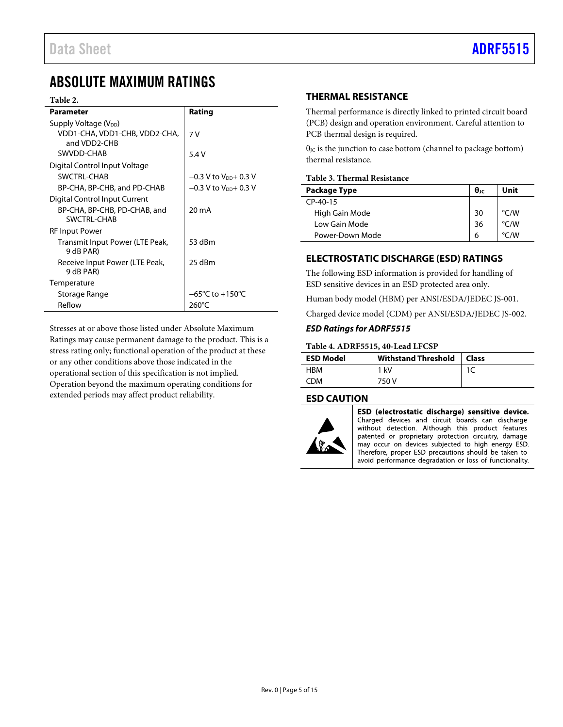# <span id="page-4-0"></span>ABSOLUTE MAXIMUM RATINGS

#### **Table 2.**

| Parameter                                          | Rating                              |
|----------------------------------------------------|-------------------------------------|
| Supply Voltage (V <sub>DD</sub> )                  |                                     |
| VDD1-CHA, VDD1-CHB, VDD2-CHA,<br>and VDD2-CHB      | 7 V                                 |
| SWVDD-CHAB                                         | 5.4 V                               |
| Digital Control Input Voltage                      |                                     |
| SWCTRL-CHAB                                        | $-0.3$ V to V <sub>DD</sub> + 0.3 V |
| BP-CHA, BP-CHB, and PD-CHAB                        | $-0.3$ V to V <sub>pp</sub> + 0.3 V |
| Digital Control Input Current                      |                                     |
| BP-CHA, BP-CHB, PD-CHAB, and<br><b>SWCTRI-CHAB</b> | 20 mA                               |
| RF Input Power                                     |                                     |
| Transmit Input Power (LTE Peak,<br>9 dB PAR)       | 53 dBm                              |
| Receive Input Power (LTE Peak,<br>9 dB PAR)        | 25 dBm                              |
| Temperature                                        |                                     |
| Storage Range                                      | $-65^{\circ}$ C to $+150^{\circ}$ C |
| Reflow                                             | 260°C                               |

Stresses at or above those listed under Absolute Maximum Ratings may cause permanent damage to the product. This is a stress rating only; functional operation of the product at these or any other conditions above those indicated in the operational section of this specification is not implied. Operation beyond the maximum operating conditions for extended periods may affect product reliability.

### <span id="page-4-1"></span>**THERMAL RESISTANCE**

Thermal performance is directly linked to printed circuit board (PCB) design and operation environment. Careful attention to PCB thermal design is required.

 $\theta$ <sub>JC</sub> is the junction to case bottom (channel to package bottom) thermal resistance.

#### **Table 3. Thermal Resistance**

| Package Type    | $\theta$ ıc | Unit               |
|-----------------|-------------|--------------------|
| $CP-40-15$      |             |                    |
| High Gain Mode  | 30          | °C/W               |
| Low Gain Mode   | 36          | $\degree$ C/W      |
| Power-Down Mode | 6           | $\rm ^{\circ}$ C/W |

### <span id="page-4-2"></span>**ELECTROSTATIC DISCHARGE (ESD) RATINGS**

The following ESD information is provided for handling of ESD sensitive devices in an ESD protected area only.

Human body model (HBM) per ANSI/ESDA/JEDEC JS-001.

Charged device model (CDM) per ANSI/ESDA/JEDEC JS-002.

### *ESD Ratings for ADRF5515*

#### **Table 4. ADRF5515, 40-Lead LFCSP**

| <b>ESD Model</b> | <b>Withstand Threshold</b> | Class |
|------------------|----------------------------|-------|
| HBM              | 1 kV                       |       |
| CDM              | 750 V                      |       |

### <span id="page-4-3"></span>**ESD CAUTION**



ESD (electrostatic discharge) sensitive device. Charged devices and circuit boards can discharge

without detection. Although this product features patented or proprietary protection circuitry, damage may occur on devices subjected to high energy ESD. Therefore, proper ESD precautions should be taken to avoid performance degradation or loss of functionality.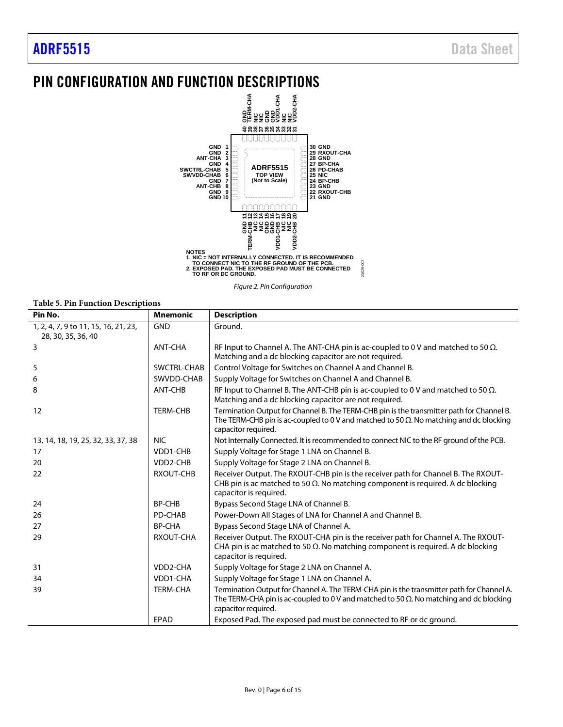# <span id="page-5-0"></span>PIN CONFIGURATION AND FUNCTION DESCRIPTIONS



*Figure 2. Pin Configuration*

**Table 5. Pin Function Descriptions**

| Pin No.                                                    | <b>Mnemonic</b>  | <b>Description</b>                                                                                                                                                                                                 |
|------------------------------------------------------------|------------------|--------------------------------------------------------------------------------------------------------------------------------------------------------------------------------------------------------------------|
| 1, 2, 4, 7, 9 to 11, 15, 16, 21, 23,<br>28, 30, 35, 36, 40 | <b>GND</b>       | Ground.                                                                                                                                                                                                            |
| 3                                                          | ANT-CHA          | RF Input to Channel A. The ANT-CHA pin is ac-coupled to 0 V and matched to 50 $\Omega$ .<br>Matching and a dc blocking capacitor are not required.                                                                 |
| 5                                                          | SWCTRL-CHAB      | Control Voltage for Switches on Channel A and Channel B.                                                                                                                                                           |
| 6                                                          | SWVDD-CHAB       | Supply Voltage for Switches on Channel A and Channel B.                                                                                                                                                            |
| 8                                                          | ANT-CHB          | RF Input to Channel B. The ANT-CHB pin is ac-coupled to 0 V and matched to 50 $\Omega$ .<br>Matching and a dc blocking capacitor are not required.                                                                 |
| 12                                                         | <b>TERM-CHB</b>  | Termination Output for Channel B. The TERM-CHB pin is the transmitter path for Channel B.<br>The TERM-CHB pin is ac-coupled to 0 V and matched to 50 $\Omega$ . No matching and dc blocking<br>capacitor required. |
| 13, 14, 18, 19, 25, 32, 33, 37, 38                         | <b>NIC</b>       | Not Internally Connected. It is recommended to connect NIC to the RF ground of the PCB.                                                                                                                            |
| 17                                                         | VDD1-CHB         | Supply Voltage for Stage 1 LNA on Channel B.                                                                                                                                                                       |
| 20                                                         | VDD2-CHB         | Supply Voltage for Stage 2 LNA on Channel B.                                                                                                                                                                       |
| 22                                                         | <b>RXOUT-CHB</b> | Receiver Output. The RXOUT-CHB pin is the receiver path for Channel B. The RXOUT-<br>CHB pin is ac matched to 50 $\Omega$ . No matching component is required. A dc blocking<br>capacitor is required.             |
| 24                                                         | <b>BP-CHB</b>    | Bypass Second Stage LNA of Channel B.                                                                                                                                                                              |
| 26                                                         | PD-CHAB          | Power-Down All Stages of LNA for Channel A and Channel B.                                                                                                                                                          |
| 27                                                         | <b>BP-CHA</b>    | Bypass Second Stage LNA of Channel A.                                                                                                                                                                              |
| 29                                                         | RXOUT-CHA        | Receiver Output. The RXOUT-CHA pin is the receiver path for Channel A. The RXOUT-<br>CHA pin is ac matched to 50 $\Omega$ . No matching component is required. A dc blocking<br>capacitor is required.             |
| 31                                                         | VDD2-CHA         | Supply Voltage for Stage 2 LNA on Channel A.                                                                                                                                                                       |
| 34                                                         | VDD1-CHA         | Supply Voltage for Stage 1 LNA on Channel A.                                                                                                                                                                       |
| 39                                                         | <b>TERM-CHA</b>  | Termination Output for Channel A. The TERM-CHA pin is the transmitter path for Channel A.<br>The TERM-CHA pin is ac-coupled to 0 V and matched to 50 $\Omega$ . No matching and dc blocking<br>capacitor required. |
|                                                            | EPAD             | Exposed Pad. The exposed pad must be connected to RF or dc ground.                                                                                                                                                 |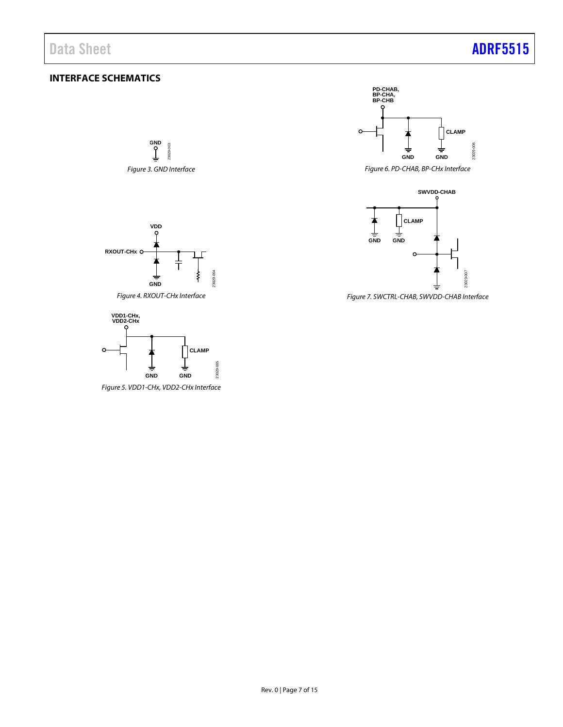## <span id="page-6-0"></span>**INTERFACE SCHEMATICS**

**GND**  $003$ 23029-003 23029 *Figure 3. GND Interface*



*Figure 4. RXOUT-CHx Interface*



*Figure 5. VDD1-CHx, VDD2-CHx Interface*



*Figure 6. PD-CHAB, BP-CHx Interface*



*Figure 7. SWCTRL-CHAB, SWVDD-CHAB Interface*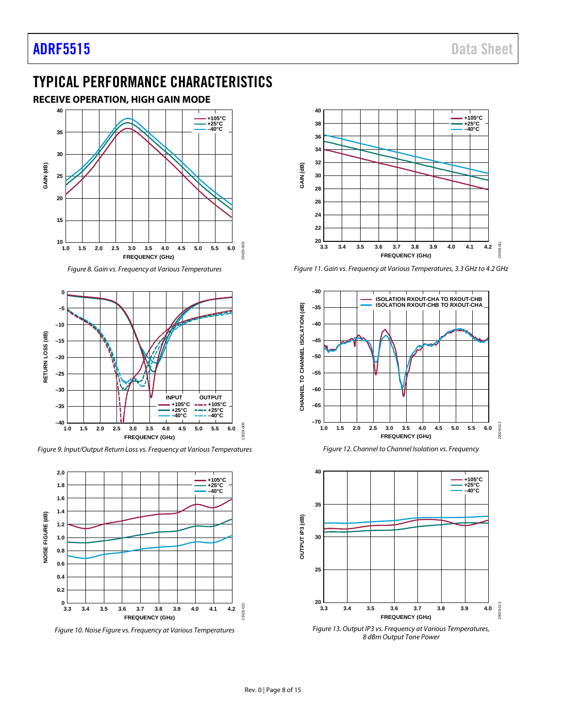# <span id="page-7-0"></span>TYPICAL PERFORMANCE CHARACTERISTICS

### <span id="page-7-1"></span>**RECEIVE OPERATION, HIGH GAIN MODE**



*Figure 8. Gain vs. Frequency at Various Temperatures*



*Figure 9. Input/Output Return Loss vs. Frequency at Various Temperatures*



*Figure 10. Noise Figure vs. Frequency at Various Temperatures*



*Figure 11. Gain vs. Frequency at Various Temperatures, 3.3 GHz to 4.2 GHz*





*Figure 13. Output IP3 vs. Frequency at Various Temperatures, 8 dBm Output Tone Power*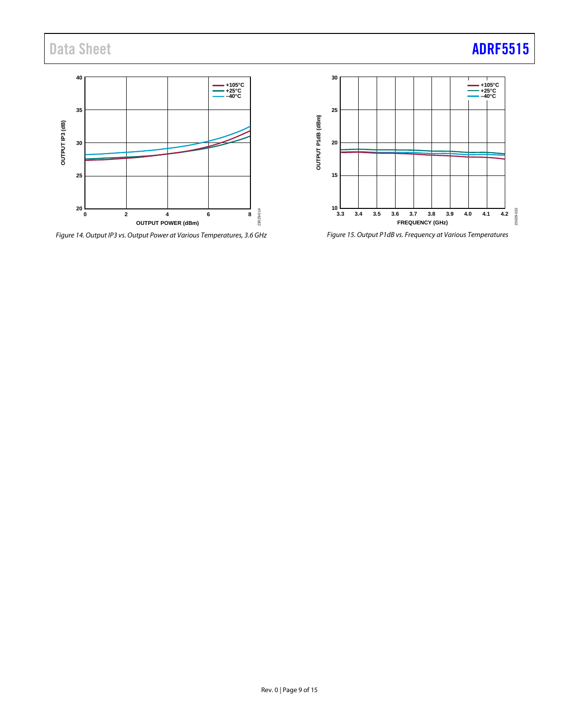Data Sheet **[ADRF5515](https://www.analog.com/ADRF5515?doc=ADRF5515.pdf)** 



*Figure 14. Output IP3 vs. Output Power at Various Temperatures, 3.6 GHz*



*Figure 15. Output P1dB vs. Frequency at Various Temperatures*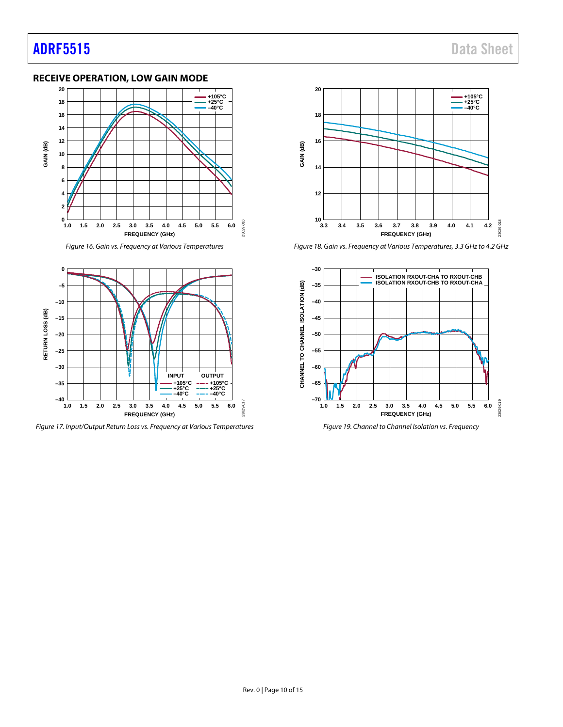### <span id="page-9-0"></span>**RECEIVE OPERATION, LOW GAIN MODE**



*Figure 16. Gain vs. Frequency at Various Temperatures*



*Figure 17. Input/Output Return Loss vs. Frequency at Various Temperatures*



*Figure 18. Gain vs. Frequency at Various Temperatures, 3.3 GHz to 4.2 GHz*



*Figure 19. Channel to Channel Isolation vs. Frequency*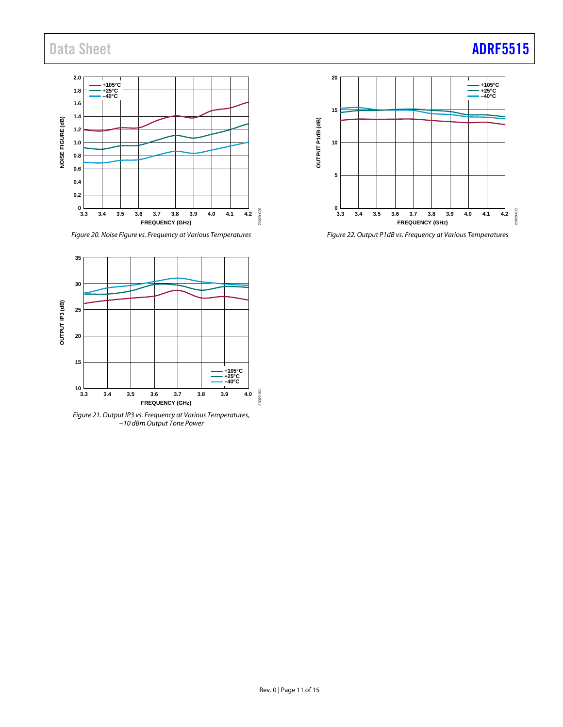

*Figure 20. Noise Figure vs. Frequency at Various Temperatures*



*Figure 21. Output IP3 vs. Frequency at Various Temperatures, −10 dBm Output Tone Power*



*Figure 22. Output P1dB vs. Frequency at Various Temperatures*

# Data Sheet **[ADRF5515](https://www.analog.com/ADRF5515?doc=ADRF5515.pdf)**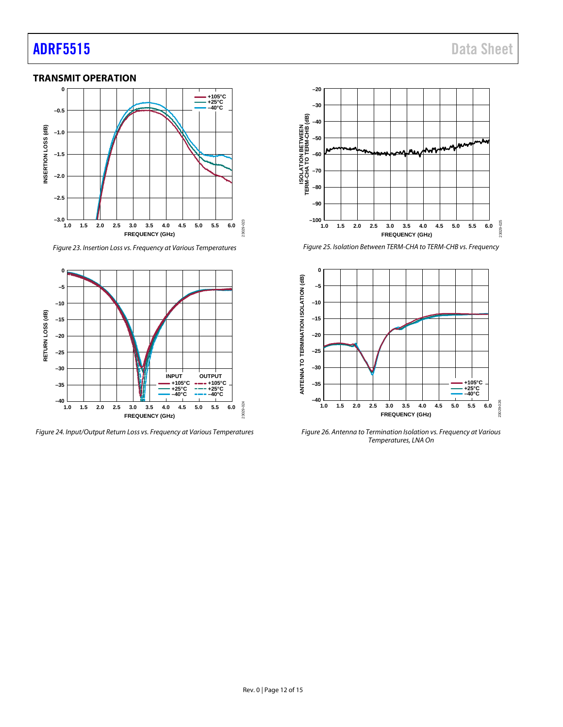# **[ADRF5515](https://www.analog.com/ADRF5515?doc=ADRF5515.pdf)** Data Sheet

### <span id="page-11-0"></span>**TRANSMIT OPERATION**



*Figure 23. Insertion Loss vs. Frequency at Various Temperatures*



*Figure 24. Input/Output Return Loss vs. Frequency at Various Temperatures*



*Figure 25. Isolation Between TERM-CHA to TERM-CHB vs. Frequency*



*Figure 26. Antenna to Termination Isolation vs. Frequency at Various Temperatures, LNA On*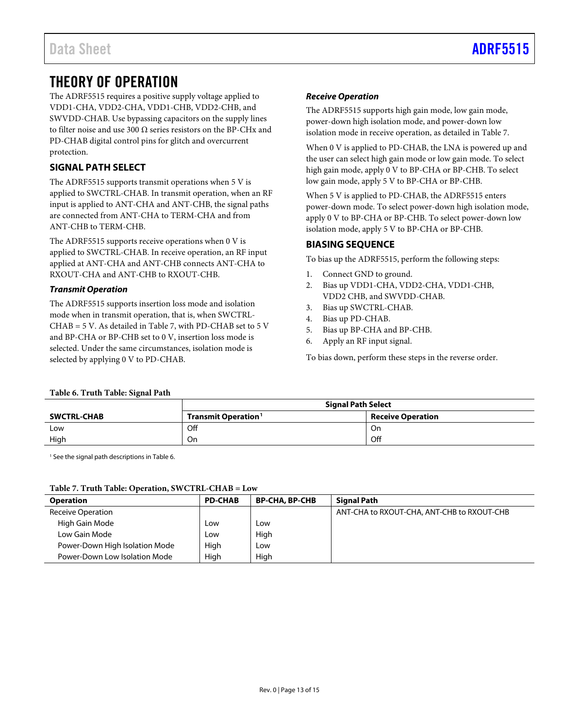# <span id="page-12-0"></span>THEORY OF OPERATION

The ADRF5515 requires a positive supply voltage applied to VDD1-CHA, VDD2-CHA, VDD1-CHB, VDD2-CHB, and SWVDD-CHAB. Use bypassing capacitors on the supply lines to filter noise and use 300 Ω series resistors on the BP-CHx and PD-CHAB digital control pins for glitch and overcurrent protection.

## <span id="page-12-1"></span>**SIGNAL PATH SELECT**

The ADRF5515 supports transmit operations when 5 V is applied to SWCTRL-CHAB. In transmit operation, when an RF input is applied to ANT-CHA and ANT-CHB, the signal paths are connected from ANT-CHA to TERM-CHA and from ANT-CHB to TERM-CHB.

The ADRF5515 supports receive operations when 0 V is applied to SWCTRL-CHAB. In receive operation, an RF input applied at ANT-CHA and ANT-CHB connects ANT-CHA to RXOUT-CHA and ANT-CHB to RXOUT-CHB.

### *Transmit Operation*

The ADRF5515 supports insertion loss mode and isolation mode when in transmit operation, that is, when SWCTRL-CHAB = 5 V. As detailed i[n Table 7,](#page-12-4) with PD-CHAB set to 5 V and BP-CHA or BP-CHB set to 0 V, insertion loss mode is selected. Under the same circumstances, isolation mode is selected by applying 0 V to PD-CHAB.

### *Receive Operation*

The ADRF5515 supports high gain mode, low gain mode, power-down high isolation mode, and power-down low isolation mode in receive operation, as detailed in [Table 7.](#page-12-4)

When 0 V is applied to PD-CHAB, the LNA is powered up and the user can select high gain mode or low gain mode. To select high gain mode, apply 0 V to BP-CHA or BP-CHB. To select low gain mode, apply 5 V to BP-CHA or BP-CHB.

When 5 V is applied to PD-CHAB, the ADRF5515 enters power-down mode. To select power-down high isolation mode, apply 0 V to BP-CHA or BP-CHB. To select power-down low isolation mode, apply 5 V to BP-CHA or BP-CHB.

### <span id="page-12-2"></span>**BIASING SEQUENCE**

To bias up the ADRF5515, perform the following steps:

- 1. Connect GND to ground.
- 2. Bias up VDD1-CHA, VDD2-CHA, VDD1-CHB, VDD2 CHB, and SWVDD-CHAB.
- 3. Bias up SWCTRL-CHAB.
- 4. Bias up PD-CHAB.
- 5. Bias up BP-CHA and BP-CHB.
- 6. Apply an RF input signal.

To bias down, perform these steps in the reverse order.

### <span id="page-12-3"></span>**Table 6. Truth Table: Signal Path**

|                    | <b>Signal Path Select</b>       |                          |  |
|--------------------|---------------------------------|--------------------------|--|
| <b>SWCTRL-CHAB</b> | Transmit Operation <sup>1</sup> | <b>Receive Operation</b> |  |
| Low                | Off                             | On                       |  |
| High               | On                              | Off                      |  |

<span id="page-12-5"></span><sup>1</sup> See the signal path descriptions i[n Table 6.](#page-12-4)

### <span id="page-12-4"></span>**Table 7. Truth Table: Operation, SWCTRL-CHAB = Low**

| <b>Operation</b>               | <b>PD-CHAB</b> | <b>BP-CHA, BP-CHB</b> | <b>Signal Path</b>                         |
|--------------------------------|----------------|-----------------------|--------------------------------------------|
| <b>Receive Operation</b>       |                |                       | ANT-CHA to RXOUT-CHA, ANT-CHB to RXOUT-CHB |
| High Gain Mode                 | Low            | LOW                   |                                            |
| Low Gain Mode                  | Low            | High                  |                                            |
| Power-Down High Isolation Mode | High           | LOW                   |                                            |
| Power-Down Low Isolation Mode  | High           | High                  |                                            |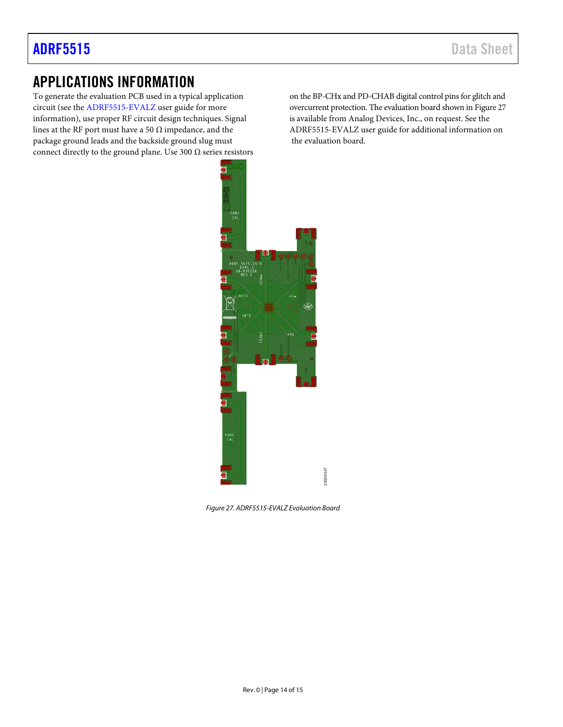# <span id="page-13-0"></span>APPLICATIONS INFORMATION

To generate the evaluation PCB used in a typical application circuit (see the [ADRF5515-EVALZ u](https://www.analog.com/ADRF5515-EVALZ?doc=ADRF5515.pdf)ser guide for more information), use proper RF circuit design techniques. Signal lines at the RF port must have a 50  $\Omega$  impedance, and the package ground leads and the backside ground slug must connect directly to the ground plane. Use 300  $\Omega$  series resistors

on the BP-CHx and PD-CHAB digital control pins for glitch and overcurrent protection. The evaluation board shown i[n Figure 27](#page-13-1)  is available from Analog Devices, Inc., on request. See the ADRF5515-EVALZ user guide for additional information on the evaluation board.



<span id="page-13-1"></span>Figure 27. ADRF5515-EVALZ Evaluation Board